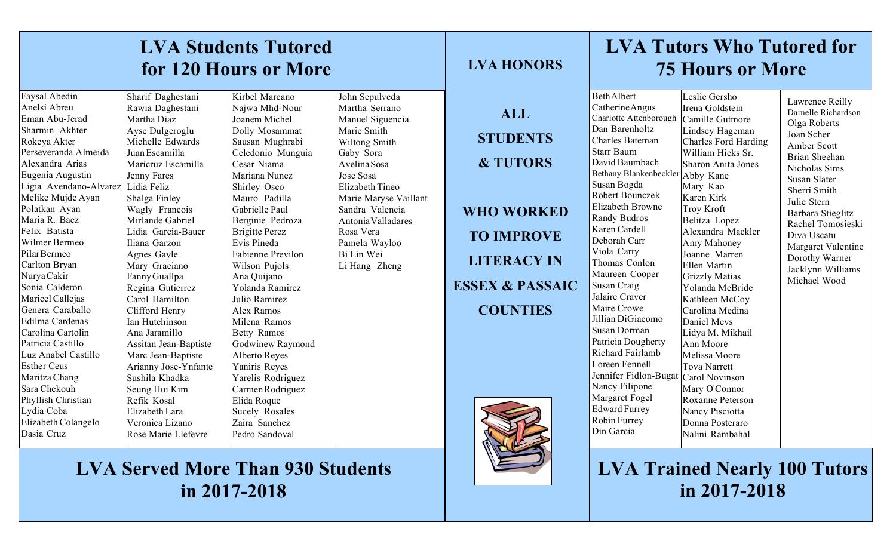| <b>LVA Students Tutored</b><br>for 120 Hours or More                                                                                                                                                                                                                                                                                                                                                                                                                                                                                                                                                          |                                                                                                                                                                                                                                                                                                                                                                                                                                                                                                                                                                                   |                                                                                                                                                                                                                                                                                                                                                                                                                                                                                                                                                                     | <b>LVA HONORS</b>                                                                                                                                                                                                                                                                |                                                                                                                                                                       | <b>LVA Tutors Who Tutored for</b><br><b>75 Hours or More</b>                                                                                                                                                                                                                                                                                                                                                                                                                                                                                                                                                       |                                                                                                                                                                                                                                                                                                                                                                                                                                                                                                                                                           |                                                                                                                                                                                                                                                                                                            |
|---------------------------------------------------------------------------------------------------------------------------------------------------------------------------------------------------------------------------------------------------------------------------------------------------------------------------------------------------------------------------------------------------------------------------------------------------------------------------------------------------------------------------------------------------------------------------------------------------------------|-----------------------------------------------------------------------------------------------------------------------------------------------------------------------------------------------------------------------------------------------------------------------------------------------------------------------------------------------------------------------------------------------------------------------------------------------------------------------------------------------------------------------------------------------------------------------------------|---------------------------------------------------------------------------------------------------------------------------------------------------------------------------------------------------------------------------------------------------------------------------------------------------------------------------------------------------------------------------------------------------------------------------------------------------------------------------------------------------------------------------------------------------------------------|----------------------------------------------------------------------------------------------------------------------------------------------------------------------------------------------------------------------------------------------------------------------------------|-----------------------------------------------------------------------------------------------------------------------------------------------------------------------|--------------------------------------------------------------------------------------------------------------------------------------------------------------------------------------------------------------------------------------------------------------------------------------------------------------------------------------------------------------------------------------------------------------------------------------------------------------------------------------------------------------------------------------------------------------------------------------------------------------------|-----------------------------------------------------------------------------------------------------------------------------------------------------------------------------------------------------------------------------------------------------------------------------------------------------------------------------------------------------------------------------------------------------------------------------------------------------------------------------------------------------------------------------------------------------------|------------------------------------------------------------------------------------------------------------------------------------------------------------------------------------------------------------------------------------------------------------------------------------------------------------|
| Faysal Abedin<br>Anelsi Abreu<br>Eman Abu-Jerad<br>Sharmin Akhter<br>Rokeya Akter<br>Perseveranda Almeida<br>Alexandra Arias<br>Eugenia Augustin<br>Ligia Avendano-Alvarez Lidia Feliz<br>Melike Mujde Ayan<br>Polatkan Ayan<br>Maria R. Baez<br>Felix Batista<br>Wilmer Bermeo<br>Pilar Bermeo<br>Carlton Bryan<br>Nurya Cakir<br>Sonia Calderon<br>Maricel Callejas<br>Genera Caraballo<br>Edilma Cardenas<br>Carolina Cartolin<br>Patricia Castillo<br>Luz Anabel Castillo<br><b>Esther Ceus</b><br>Maritza Chang<br>Sara Chekouh<br>Phyllish Christian<br>Lydia Coba<br>Elizabeth Colangelo<br>Dasia Cruz | Sharif Daghestani<br>Rawia Daghestani<br>Martha Diaz<br>Ayse Dulgeroglu<br>Michelle Edwards<br>Juan Escamilla<br>Maricruz Escamilla<br>Jenny Fares<br>Shalga Finley<br>Wagly Francois<br>Mirlande Gabriel<br>Lidia Garcia-Bauer<br>Iliana Garzon<br>Agnes Gayle<br>Mary Graciano<br>Fanny Guallpa<br>Regina Gutierrez<br>Carol Hamilton<br>Clifford Henry<br>Ian Hutchinson<br>Ana Jaramillo<br>Assitan Jean-Baptiste<br>Marc Jean-Baptiste<br>Arianny Jose-Ynfante<br>Sushila Khadka<br>Seung Hui Kim<br>Refik Kosal<br>Elizabeth Lara<br>Veronica Lizano<br>Rose Marie Llefevre | Kirbel Marcano<br>Najwa Mhd-Nour<br>Joanem Michel<br>Dolly Mosammat<br>Sausan Mughrabi<br>Celedonio Munguia<br>Cesar Niama<br>Mariana Nunez<br>Shirley Osco<br>Mauro Padilla<br>Gabrielle Paul<br>Berginie Pedroza<br>Brigitte Perez<br>Evis Pineda<br>Fabienne Previlon<br>Wilson Pujols<br>Ana Quijano<br>Yolanda Ramirez<br>Julio Ramirez<br>Alex Ramos<br>Milena Ramos<br><b>Betty Ramos</b><br>Godwinew Raymond<br>Alberto Reyes<br>Yaniris Reyes<br>Yarelis Rodriguez<br>Carmen Rodriguez<br>Elida Roque<br>Sucely Rosales<br>Zaira Sanchez<br>Pedro Sandoval | John Sepulveda<br>Martha Serrano<br>Manuel Siguencia<br>Marie Smith<br>Wiltong Smith<br>Gaby Sora<br>Avelina Sosa<br>Jose Sosa<br>Elizabeth Tineo<br>Marie Maryse Vaillant<br>Sandra Valencia<br>Antonia Valladares<br>Rosa Vera<br>Pamela Wayloo<br>Bi Lin Wei<br>Li Hang Zheng | <b>ALL</b><br><b>STUDENTS</b><br><b>&amp; TUTORS</b><br><b>WHO WORKED</b><br><b>TO IMPROVE</b><br><b>LITERACY IN</b><br><b>ESSEX &amp; PASSAIC</b><br><b>COUNTIES</b> | <b>BethAlbert</b><br>Catherine Angus<br>Charlotte Attenborough<br>Dan Barenholtz<br>Charles Bateman<br><b>Starr Baum</b><br>David Baumbach<br>Bethany Blankenbeckler Abby Kane<br>Susan Bogda<br>Robert Bounczek<br>Elizabeth Browne<br>Randy Budros<br>Karen Cardell<br>Deborah Carr<br>Viola Carty<br>Thomas Conlon<br>Maureen Cooper<br>Susan Craig<br>Jalaire Craver<br>Maire Crowe<br>Jillian DiGiacomo<br>Susan Dorman<br>Patricia Dougherty<br>Richard Fairlamb<br>Loreen Fennell<br>Jennifer Fidlon-Bugat<br>Nancy Filipone<br>Margaret Fogel<br><b>Edward Furrey</b><br><b>Robin Furrey</b><br>Din Garcia | Leslie Gersho<br>Irena Goldstein<br>Camille Gutmore<br>Lindsey Hageman<br>Charles Ford Harding<br>William Hicks Sr.<br>Sharon Anita Jones<br>Mary Kao<br>Karen Kirk<br><b>Troy Kroft</b><br>Belitza Lopez<br>Alexandra Mackler<br>Amy Mahoney<br>Joanne Marren<br>Ellen Martin<br>Grizzly Matias<br>Yolanda McBride<br>Kathleen McCoy<br>Carolina Medina<br>Daniel Mevs<br>Lidya M. Mikhail<br>Ann Moore<br>Melissa Moore<br>Tova Narrett<br>Carol Novinson<br>Mary O'Connor<br>Roxanne Peterson<br>Nancy Pisciotta<br>Donna Posteraro<br>Nalini Rambahal | Lawrence Reilly<br>Darnelle Richardson<br>Olga Roberts<br>Joan Scher<br>Amber Scott<br>Brian Sheehan<br>Nicholas Sims<br>Susan Slater<br>Sherri Smith<br>Julie Stern<br>Barbara Stieglitz<br>Rachel Tomosieski<br>Diva Uscatu<br>Margaret Valentine<br>Dorothy Warner<br>Jacklynn Williams<br>Michael Wood |
| <b>LVA Served More Than 930 Students</b><br>in $2017 - 2018$                                                                                                                                                                                                                                                                                                                                                                                                                                                                                                                                                  |                                                                                                                                                                                                                                                                                                                                                                                                                                                                                                                                                                                   |                                                                                                                                                                                                                                                                                                                                                                                                                                                                                                                                                                     |                                                                                                                                                                                                                                                                                  |                                                                                                                                                                       | <b>LVA Trained Nearly 100 Tutors</b><br>in 2017-2018                                                                                                                                                                                                                                                                                                                                                                                                                                                                                                                                                               |                                                                                                                                                                                                                                                                                                                                                                                                                                                                                                                                                           |                                                                                                                                                                                                                                                                                                            |